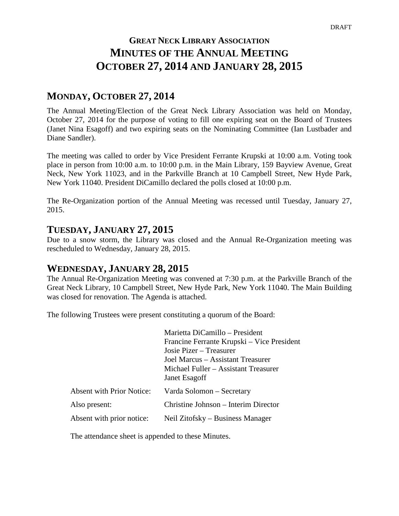# **GREAT NECK LIBRARY ASSOCIATION MINUTES OF THE ANNUAL MEETING OCTOBER 27, 2014 AND JANUARY 28, 2015**

# **MONDAY, OCTOBER 27, 2014**

The Annual Meeting/Election of the Great Neck Library Association was held on Monday, October 27, 2014 for the purpose of voting to fill one expiring seat on the Board of Trustees (Janet Nina Esagoff) and two expiring seats on the Nominating Committee (Ian Lustbader and Diane Sandler).

The meeting was called to order by Vice President Ferrante Krupski at 10:00 a.m. Voting took place in person from 10:00 a.m. to 10:00 p.m. in the Main Library, 159 Bayview Avenue, Great Neck, New York 11023, and in the Parkville Branch at 10 Campbell Street, New Hyde Park, New York 11040. President DiCamillo declared the polls closed at 10:00 p.m.

The Re-Organization portion of the Annual Meeting was recessed until Tuesday, January 27, 2015.

## **TUESDAY, JANUARY 27, 2015**

Due to a snow storm, the Library was closed and the Annual Re-Organization meeting was rescheduled to Wednesday, January 28, 2015.

# **WEDNESDAY, JANUARY 28, 2015**

The Annual Re-Organization Meeting was convened at 7:30 p.m. at the Parkville Branch of the Great Neck Library, 10 Campbell Street, New Hyde Park, New York 11040. The Main Building was closed for renovation. The Agenda is attached.

The following Trustees were present constituting a quorum of the Board:

|                                  | Marietta DiCamillo - President             |
|----------------------------------|--------------------------------------------|
|                                  | Francine Ferrante Krupski – Vice President |
|                                  | Josie Pizer – Treasurer                    |
|                                  | Joel Marcus – Assistant Treasurer          |
|                                  | Michael Fuller – Assistant Treasurer       |
|                                  | Janet Esagoff                              |
| <b>Absent with Prior Notice:</b> | Varda Solomon – Secretary                  |
| Also present:                    | Christine Johnson – Interim Director       |
| Absent with prior notice:        | Neil Zitofsky – Business Manager           |

The attendance sheet is appended to these Minutes.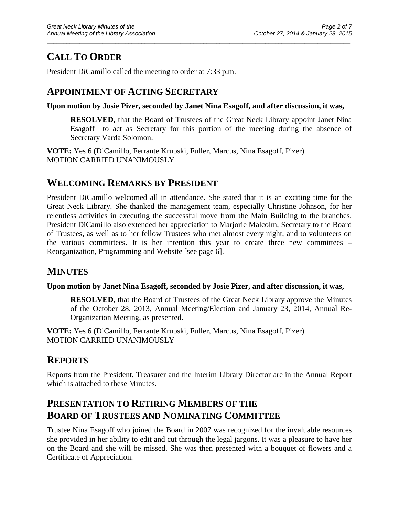# **CALL TO ORDER**

President DiCamillo called the meeting to order at 7:33 p.m.

# **APPOINTMENT OF ACTING SECRETARY**

**Upon motion by Josie Pizer, seconded by Janet Nina Esagoff, and after discussion, it was,**

\_\_\_\_\_\_\_\_\_\_\_\_\_\_\_\_\_\_\_\_\_\_\_\_\_\_\_\_\_\_\_\_\_\_\_\_\_\_\_\_\_\_\_\_\_\_\_\_\_\_\_\_\_\_\_\_\_\_\_\_\_\_\_\_\_\_\_\_\_\_\_\_\_\_\_\_\_\_\_\_\_\_\_\_\_\_\_\_\_\_\_\_\_

**RESOLVED,** that the Board of Trustees of the Great Neck Library appoint Janet Nina Esagoff to act as Secretary for this portion of the meeting during the absence of Secretary Varda Solomon.

**VOTE:** Yes 6 (DiCamillo, Ferrante Krupski, Fuller, Marcus, Nina Esagoff, Pizer) MOTION CARRIED UNANIMOUSLY

# **WELCOMING REMARKS BY PRESIDENT**

President DiCamillo welcomed all in attendance. She stated that it is an exciting time for the Great Neck Library. She thanked the management team, especially Christine Johnson, for her relentless activities in executing the successful move from the Main Building to the branches. President DiCamillo also extended her appreciation to Marjorie Malcolm, Secretary to the Board of Trustees, as well as to her fellow Trustees who met almost every night, and to volunteers on the various committees. It is her intention this year to create three new committees – Reorganization, Programming and Website [see page 6].

# **MINUTES**

## **Upon motion by Janet Nina Esagoff, seconded by Josie Pizer, and after discussion, it was,**

**RESOLVED**, that the Board of Trustees of the Great Neck Library approve the Minutes of the October 28, 2013, Annual Meeting/Election and January 23, 2014, Annual Re-Organization Meeting, as presented.

**VOTE:** Yes 6 (DiCamillo, Ferrante Krupski, Fuller, Marcus, Nina Esagoff, Pizer) MOTION CARRIED UNANIMOUSLY

# **REPORTS**

Reports from the President, Treasurer and the Interim Library Director are in the Annual Report which is attached to these Minutes.

# **PRESENTATION TO RETIRING MEMBERS OF THE BOARD OF TRUSTEES AND NOMINATING COMMITTEE**

Trustee Nina Esagoff who joined the Board in 2007 was recognized for the invaluable resources she provided in her ability to edit and cut through the legal jargons. It was a pleasure to have her on the Board and she will be missed. She was then presented with a bouquet of flowers and a Certificate of Appreciation.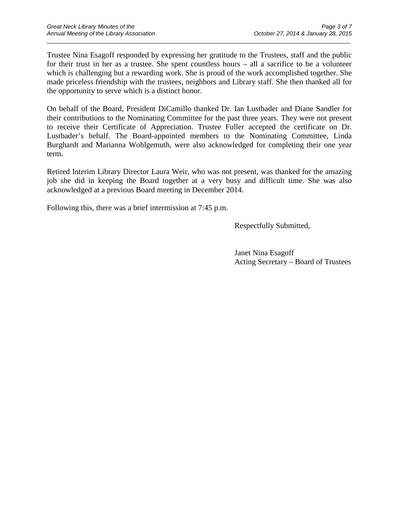Trustee Nina Esagoff responded by expressing her gratitude to the Trustees, staff and the public for their trust in her as a trustee. She spent countless hours – all a sacrifice to be a volunteer which is challenging but a rewarding work. She is proud of the work accomplished together. She made priceless friendship with the trustees, neighbors and Library staff. She then thanked all for the opportunity to serve which is a distinct honor.

\_\_\_\_\_\_\_\_\_\_\_\_\_\_\_\_\_\_\_\_\_\_\_\_\_\_\_\_\_\_\_\_\_\_\_\_\_\_\_\_\_\_\_\_\_\_\_\_\_\_\_\_\_\_\_\_\_\_\_\_\_\_\_\_\_\_\_\_\_\_\_\_\_\_\_\_\_\_\_\_\_\_\_\_\_\_\_\_\_\_\_\_\_

On behalf of the Board, President DiCamillo thanked Dr. Ian Lustbader and Diane Sandler for their contributions to the Nominating Committee for the past three years. They were not present to receive their Certificate of Appreciation. Trustee Fuller accepted the certificate on Dr. Lustbader's behalf. The Board-appointed members to the Nominating Committee, Linda Burghardt and Marianna Wohlgemuth, were also acknowledged for completing their one year term.

Retired Interim Library Director Laura Weir, who was not present, was thanked for the amazing job she did in keeping the Board together at a very busy and difficult time. She was also acknowledged at a previous Board meeting in December 2014.

Following this, there was a brief intermission at 7:45 p.m.

Respectfully Submitted,

Janet Nina Esagoff Acting Secretary – Board of Trustees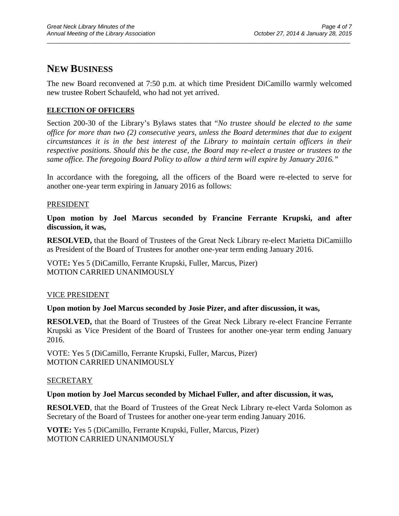## **NEW BUSINESS**

The new Board reconvened at 7:50 p.m. at which time President DiCamillo warmly welcomed new trustee Robert Schaufeld, who had not yet arrived.

\_\_\_\_\_\_\_\_\_\_\_\_\_\_\_\_\_\_\_\_\_\_\_\_\_\_\_\_\_\_\_\_\_\_\_\_\_\_\_\_\_\_\_\_\_\_\_\_\_\_\_\_\_\_\_\_\_\_\_\_\_\_\_\_\_\_\_\_\_\_\_\_\_\_\_\_\_\_\_\_\_\_\_\_\_\_\_\_\_\_\_\_\_

## **ELECTION OF OFFICERS**

Section 200-30 of the Library's Bylaws states that "*No trustee should be elected to the same office for more than two (2) consecutive years, unless the Board determines that due to exigent circumstances it is in the best interest of the Library to maintain certain officers in their respective positions. Should this be the case, the Board may re-elect a trustee or trustees to the same office. The foregoing Board Policy to allow a third term will expire by January 2016."*

In accordance with the foregoing, all the officers of the Board were re-elected to serve for another one-year term expiring in January 2016 as follows:

## **PRESIDENT**

**Upon motion by Joel Marcus seconded by Francine Ferrante Krupski, and after discussion, it was,**

**RESOLVED,** that the Board of Trustees of the Great Neck Library re-elect Marietta DiCamiillo as President of the Board of Trustees for another one-year term ending January 2016.

VOTE**:** Yes 5 (DiCamillo, Ferrante Krupski, Fuller, Marcus, Pizer) MOTION CARRIED UNANIMOUSLY

## VICE PRESIDENT

## **Upon motion by Joel Marcus seconded by Josie Pizer, and after discussion, it was,**

**RESOLVED,** that the Board of Trustees of the Great Neck Library re-elect Francine Ferrante Krupski as Vice President of the Board of Trustees for another one-year term ending January 2016.

VOTE: Yes 5 (DiCamillo, Ferrante Krupski, Fuller, Marcus, Pizer) MOTION CARRIED UNANIMOUSLY

#### SECRETARY

#### **Upon motion by Joel Marcus seconded by Michael Fuller, and after discussion, it was,**

**RESOLVED**, that the Board of Trustees of the Great Neck Library re-elect Varda Solomon as Secretary of the Board of Trustees for another one-year term ending January 2016.

**VOTE:** Yes 5 (DiCamillo, Ferrante Krupski, Fuller, Marcus, Pizer) MOTION CARRIED UNANIMOUSLY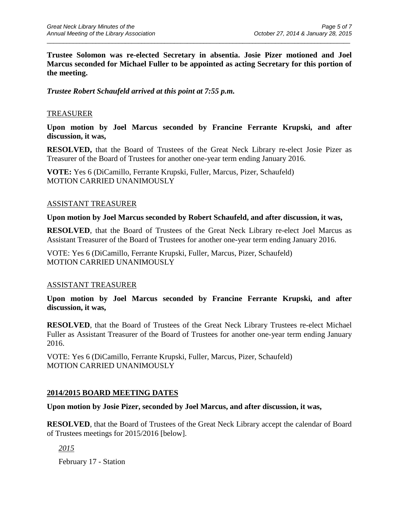**Trustee Solomon was re-elected Secretary in absentia. Josie Pizer motioned and Joel Marcus seconded for Michael Fuller to be appointed as acting Secretary for this portion of the meeting.**

\_\_\_\_\_\_\_\_\_\_\_\_\_\_\_\_\_\_\_\_\_\_\_\_\_\_\_\_\_\_\_\_\_\_\_\_\_\_\_\_\_\_\_\_\_\_\_\_\_\_\_\_\_\_\_\_\_\_\_\_\_\_\_\_\_\_\_\_\_\_\_\_\_\_\_\_\_\_\_\_\_\_\_\_\_\_\_\_\_\_\_\_\_

## *Trustee Robert Schaufeld arrived at this point at 7:55 p.m.*

## TREASURER

**Upon motion by Joel Marcus seconded by Francine Ferrante Krupski, and after discussion, it was,**

**RESOLVED,** that the Board of Trustees of the Great Neck Library re-elect Josie Pizer as Treasurer of the Board of Trustees for another one-year term ending January 2016.

**VOTE:** Yes 6 (DiCamillo, Ferrante Krupski, Fuller, Marcus, Pizer, Schaufeld) MOTION CARRIED UNANIMOUSLY

## ASSISTANT TREASURER

#### **Upon motion by Joel Marcus seconded by Robert Schaufeld, and after discussion, it was,**

**RESOLVED**, that the Board of Trustees of the Great Neck Library re-elect Joel Marcus as Assistant Treasurer of the Board of Trustees for another one-year term ending January 2016.

VOTE: Yes 6 (DiCamillo, Ferrante Krupski, Fuller, Marcus, Pizer, Schaufeld) MOTION CARRIED UNANIMOUSLY

## ASSISTANT TREASURER

**Upon motion by Joel Marcus seconded by Francine Ferrante Krupski, and after discussion, it was,**

**RESOLVED**, that the Board of Trustees of the Great Neck Library Trustees re-elect Michael Fuller as Assistant Treasurer of the Board of Trustees for another one-year term ending January 2016.

VOTE: Yes 6 (DiCamillo, Ferrante Krupski, Fuller, Marcus, Pizer, Schaufeld) MOTION CARRIED UNANIMOUSLY

## **2014/2015 BOARD MEETING DATES**

## **Upon motion by Josie Pizer, seconded by Joel Marcus, and after discussion, it was,**

**RESOLVED**, that the Board of Trustees of the Great Neck Library accept the calendar of Board of Trustees meetings for 2015/2016 [below].

*2015*

February 17 - Station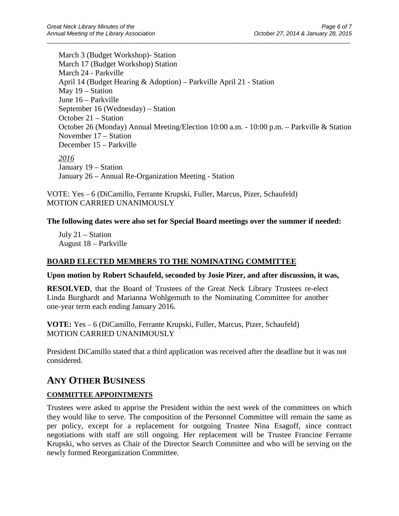March 3 (Budget Workshop)- Station March 17 (Budget Workshop) Station March 24 - Parkville April 14 (Budget Hearing & Adoption) – Parkville April 21 - Station May 19 – Station June 16 – Parkville September 16 (Wednesday) – Station October 21 – Station October 26 (Monday) Annual Meeting/Election 10:00 a.m. - 10:00 p.m. – Parkville & Station November 17 – Station December 15 – Parkville *2016* January 19 – Station January 26 – Annual Re-Organization Meeting - Station

\_\_\_\_\_\_\_\_\_\_\_\_\_\_\_\_\_\_\_\_\_\_\_\_\_\_\_\_\_\_\_\_\_\_\_\_\_\_\_\_\_\_\_\_\_\_\_\_\_\_\_\_\_\_\_\_\_\_\_\_\_\_\_\_\_\_\_\_\_\_\_\_\_\_\_\_\_\_\_\_\_\_\_\_\_\_\_\_\_\_\_\_\_

VOTE: Yes – 6 (DiCamillo, Ferrante Krupski, Fuller, Marcus, Pizer, Schaufeld) MOTION CARRIED UNANIMOUSLY

## **The following dates were also set for Special Board meetings over the summer if needed:**

July 21 – Station August 18 – Parkville

## **BOARD ELECTED MEMBERS TO THE NOMINATING COMMITTEE**

**Upon motion by Robert Schaufeld, seconded by Josie Pizer, and after discussion, it was,**

**RESOLVED**, that the Board of Trustees of the Great Neck Library Trustees re-elect Linda Burghardt and Marianna Wohlgemuth to the Nominating Committee for another one-year term each ending January 2016.

**VOTE:** Yes – 6 (DiCamillo, Ferrante Krupski, Fuller, Marcus, Pizer, Schaufeld) MOTION CARRIED UNANIMOUSLY

President DiCamillo stated that a third application was received after the deadline but it was not considered.

# **ANY OTHER BUSINESS**

## **COMMITTEE APPOINTMENTS**

Trustees were asked to apprise the President within the next week of the committees on which they would like to serve. The composition of the Personnel Committee will remain the same as per policy, except for a replacement for outgoing Trustee Nina Esagoff, since contract negotiations with staff are still ongoing. Her replacement will be Trustee Francine Ferrante Krupski, who serves as Chair of the Director Search Committee and who will be serving on the newly formed Reorganization Committee.